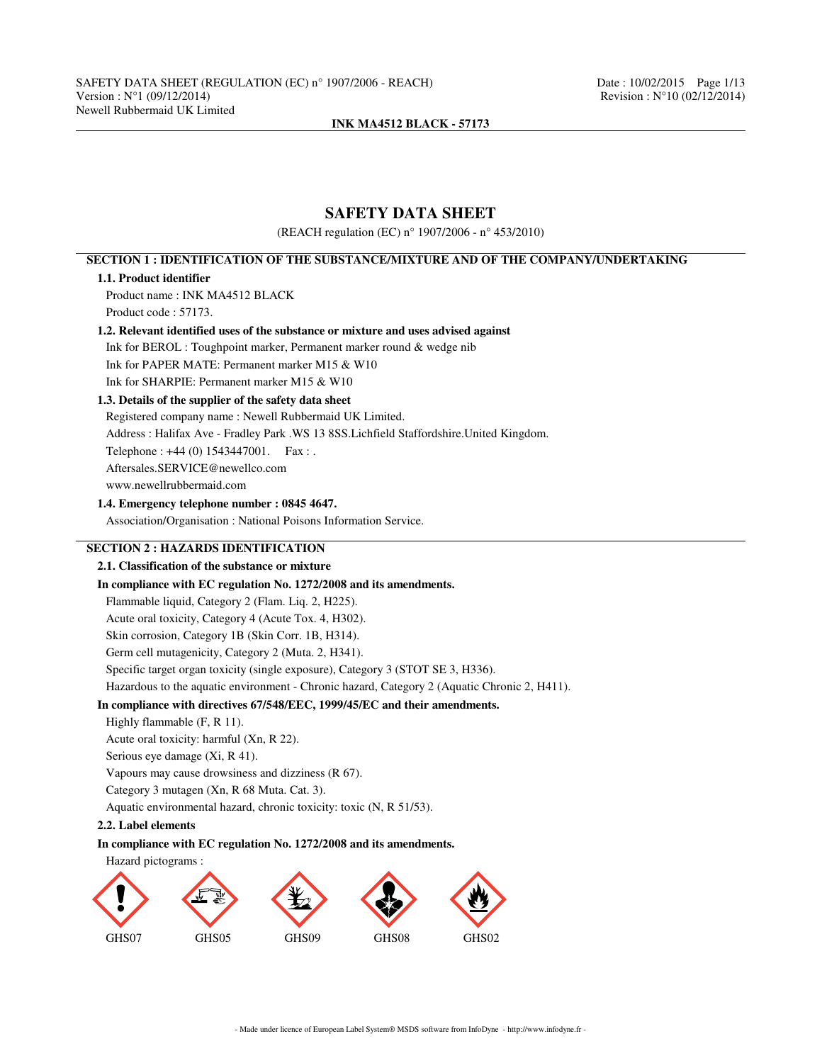# **SAFETY DATA SHEET**

(REACH regulation (EC) n° 1907/2006 - n° 453/2010)

# **SECTION 1 : IDENTIFICATION OF THE SUBSTANCE/MIXTURE AND OF THE COMPANY/UNDERTAKING**

## **1.1. Product identifier**

Product name : INK MA4512 BLACK Product code : 57173.

## **1.2. Relevant identified uses of the substance or mixture and uses advised against**

Ink for BEROL : Toughpoint marker, Permanent marker round & wedge nib

Ink for PAPER MATE: Permanent marker M15 & W10

# Ink for SHARPIE: Permanent marker M15 & W10

# **1.3. Details of the supplier of the safety data sheet**

Registered company name : Newell Rubbermaid UK Limited. Address : Halifax Ave - Fradley Park .WS 13 8SS.Lichfield Staffordshire.United Kingdom. Telephone : +44 (0) 1543447001. Fax : . Aftersales.SERVICE@newellco.com www.newellrubbermaid.com

### **1.4. Emergency telephone number : 0845 4647.**

Association/Organisation : National Poisons Information Service.

# **SECTION 2 : HAZARDS IDENTIFICATION**

## **2.1. Classification of the substance or mixture**

## **In compliance with EC regulation No. 1272/2008 and its amendments.**

Flammable liquid, Category 2 (Flam. Liq. 2, H225).

Acute oral toxicity, Category 4 (Acute Tox. 4, H302).

Skin corrosion, Category 1B (Skin Corr. 1B, H314).

Germ cell mutagenicity, Category 2 (Muta. 2, H341).

Specific target organ toxicity (single exposure), Category 3 (STOT SE 3, H336).

Hazardous to the aquatic environment - Chronic hazard, Category 2 (Aquatic Chronic 2, H411).

# **In compliance with directives 67/548/EEC, 1999/45/EC and their amendments.**

- Highly flammable (F, R 11).
- Acute oral toxicity: harmful (Xn, R 22).
- Serious eye damage (Xi, R 41).

Vapours may cause drowsiness and dizziness (R 67).

Category 3 mutagen (Xn, R 68 Muta. Cat. 3).

Aquatic environmental hazard, chronic toxicity: toxic (N, R 51/53).

## **2.2. Label elements**

## **In compliance with EC regulation No. 1272/2008 and its amendments.**



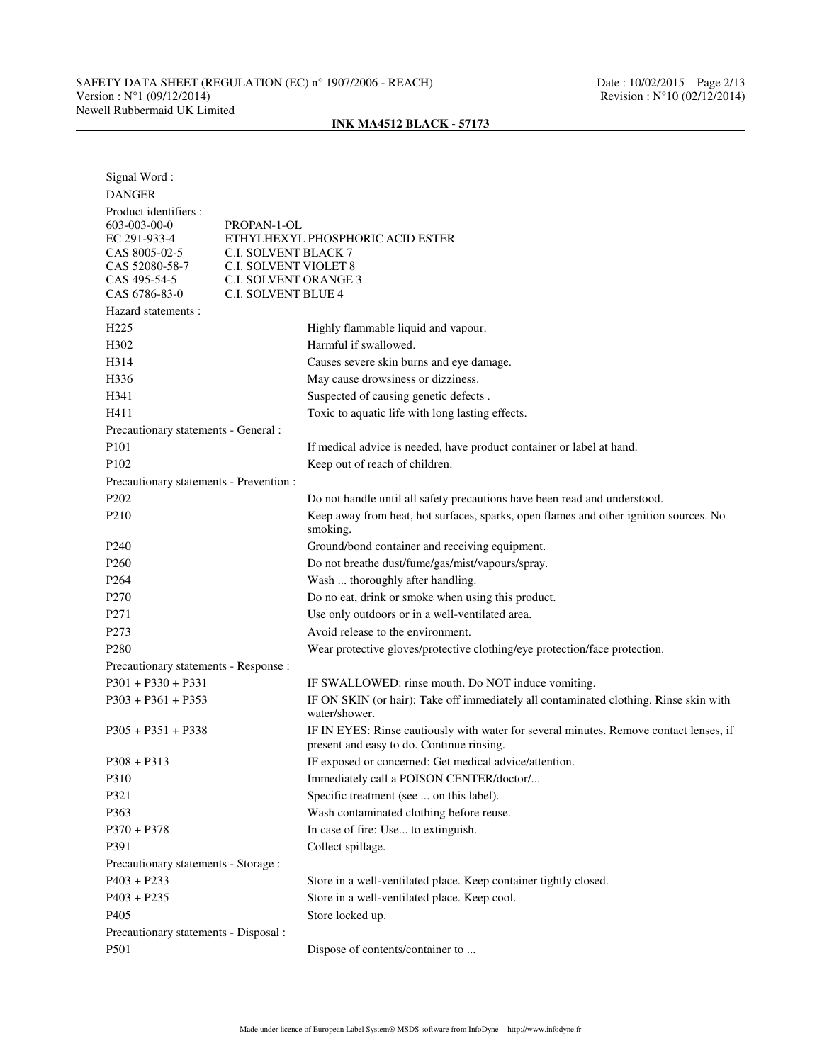| Signal Word:<br><b>DANGER</b>           |                                                                                                                                     |
|-----------------------------------------|-------------------------------------------------------------------------------------------------------------------------------------|
| Product identifiers :                   |                                                                                                                                     |
| 603-003-00-0                            | PROPAN-1-OL                                                                                                                         |
| EC 291-933-4<br>CAS 8005-02-5           | ETHYLHEXYL PHOSPHORIC ACID ESTER<br><b>C.I. SOLVENT BLACK 7</b>                                                                     |
| CAS 52080-58-7                          | <b>C.I. SOLVENT VIOLET 8</b>                                                                                                        |
| CAS 495-54-5                            | <b>C.I. SOLVENT ORANGE 3</b>                                                                                                        |
| CAS 6786-83-0                           | <b>C.I. SOLVENT BLUE 4</b>                                                                                                          |
| Hazard statements :                     |                                                                                                                                     |
| H <sub>225</sub>                        | Highly flammable liquid and vapour.                                                                                                 |
| H302                                    | Harmful if swallowed.                                                                                                               |
| H314                                    | Causes severe skin burns and eye damage.                                                                                            |
| H336                                    | May cause drowsiness or dizziness.                                                                                                  |
| H341                                    | Suspected of causing genetic defects.                                                                                               |
| H411                                    | Toxic to aquatic life with long lasting effects.                                                                                    |
| Precautionary statements - General :    |                                                                                                                                     |
| P101                                    | If medical advice is needed, have product container or label at hand.                                                               |
| P102                                    | Keep out of reach of children.                                                                                                      |
| Precautionary statements - Prevention : |                                                                                                                                     |
| P202                                    | Do not handle until all safety precautions have been read and understood.                                                           |
| P <sub>210</sub>                        | Keep away from heat, hot surfaces, sparks, open flames and other ignition sources. No<br>smoking.                                   |
| P <sub>240</sub>                        | Ground/bond container and receiving equipment.                                                                                      |
| P <sub>260</sub>                        | Do not breathe dust/fume/gas/mist/vapours/spray.                                                                                    |
| P <sub>264</sub>                        | Wash  thoroughly after handling.                                                                                                    |
| P <sub>270</sub>                        | Do no eat, drink or smoke when using this product.                                                                                  |
| P <sub>271</sub>                        | Use only outdoors or in a well-ventilated area.                                                                                     |
| P273                                    | Avoid release to the environment.                                                                                                   |
| P <sub>280</sub>                        | Wear protective gloves/protective clothing/eye protection/face protection.                                                          |
| Precautionary statements - Response :   |                                                                                                                                     |
| $P301 + P330 + P331$                    | IF SWALLOWED: rinse mouth. Do NOT induce vomiting.                                                                                  |
| $P303 + P361 + P353$                    | IF ON SKIN (or hair): Take off immediately all contaminated clothing. Rinse skin with<br>water/shower.                              |
| $P305 + P351 + P338$                    | IF IN EYES: Rinse cautiously with water for several minutes. Remove contact lenses, if<br>present and easy to do. Continue rinsing. |
| $P308 + P313$                           | IF exposed or concerned: Get medical advice/attention.                                                                              |
| P310                                    | Immediately call a POISON CENTER/doctor/                                                                                            |
| P321                                    | Specific treatment (see  on this label).                                                                                            |
| P363                                    | Wash contaminated clothing before reuse.                                                                                            |
| $P370 + P378$                           | In case of fire: Use to extinguish.                                                                                                 |
| P391                                    | Collect spillage.                                                                                                                   |
| Precautionary statements - Storage :    |                                                                                                                                     |
| $P403 + P233$                           | Store in a well-ventilated place. Keep container tightly closed.                                                                    |
| $P403 + P235$                           | Store in a well-ventilated place. Keep cool.                                                                                        |
| P405                                    | Store locked up.                                                                                                                    |
| Precautionary statements - Disposal :   |                                                                                                                                     |
| P501                                    | Dispose of contents/container to                                                                                                    |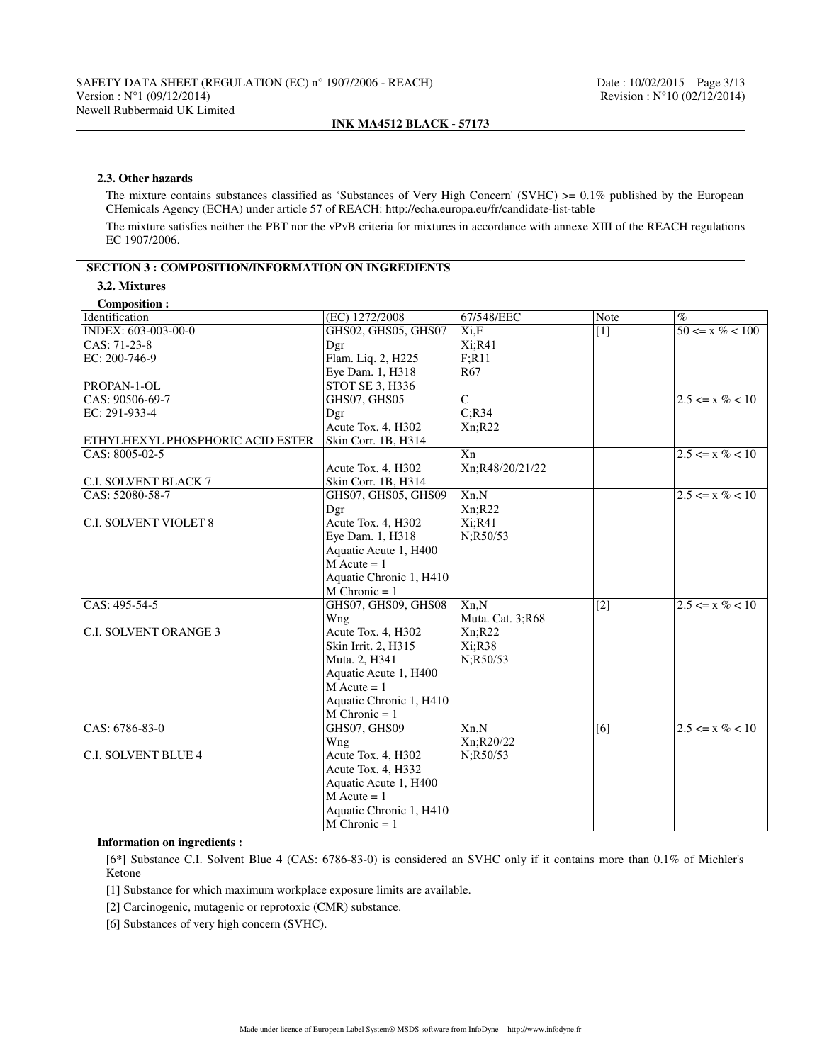### **2.3. Other hazards**

The mixture contains substances classified as 'Substances of Very High Concern' (SVHC)  $> = 0.1\%$  published by the European CHemicals Agency (ECHA) under article 57 of REACH: http://echa.europa.eu/fr/candidate-list-table

The mixture satisfies neither the PBT nor the vPvB criteria for mixtures in accordance with annexe XIII of the REACH regulations EC 1907/2006.

# **SECTION 3 : COMPOSITION/INFORMATION ON INGREDIENTS**

## **3.2. Mixtures**

| <b>Composition:</b>                     |                         |                  |             |                     |
|-----------------------------------------|-------------------------|------------------|-------------|---------------------|
| Identification                          | (EC) 1272/2008          | 67/548/EEC       | <b>Note</b> | $\%$                |
| INDEX: 603-003-00-0                     | GHS02, GHS05, GHS07     | Xi,F             | $[1]$       | $50 \le x \% < 100$ |
| $CAS: 71-23-8$                          | Dgr                     | Xi;R41           |             |                     |
| EC: 200-746-9                           | Flam. Liq. 2, H225      | F; R11           |             |                     |
|                                         | Eye Dam. 1, H318        | R <sub>67</sub>  |             |                     |
| PROPAN-1-OL                             | STOT SE 3, H336         |                  |             |                     |
| $CRS: 90506 - 69 - 7$                   | GHS07, GHS05            | $\mathbf C$      |             | $2.5 \le x \% < 10$ |
| EC: 291-933-4                           | Dgr                     | C; R34           |             |                     |
|                                         | Acute Tox. 4, H302      | Xn; R22          |             |                     |
| <b>ETHYLHEXYL PHOSPHORIC ACID ESTER</b> | Skin Corr. 1B, H314     |                  |             |                     |
| $ CAS: 8005-02-5$                       |                         | Xn               |             | $2.5 \le x \% < 10$ |
|                                         | Acute Tox. 4, H302      | Xn;R48/20/21/22  |             |                     |
| C.I. SOLVENT BLACK 7                    | Skin Corr. 1B, H314     |                  |             |                     |
| $ CAS: 52080-58-7$                      | GHS07, GHS05, GHS09     | Xn, N            |             | $2.5 \le x \% < 10$ |
|                                         | Dgr                     | Xn; R22          |             |                     |
| <b>C.I. SOLVENT VIOLET 8</b>            | Acute Tox. 4, H302      | Xi; R41          |             |                     |
|                                         | Eye Dam. 1, H318        | N;R50/53         |             |                     |
|                                         | Aquatic Acute 1, H400   |                  |             |                     |
|                                         | $M$ Acute = 1           |                  |             |                     |
|                                         | Aquatic Chronic 1, H410 |                  |             |                     |
|                                         | $M$ Chronic = 1         |                  |             |                     |
| CAS: 495-54-5                           | GHS07, GHS09, GHS08     | Xn,N             | $[2]$       | $2.5 \le x \% < 10$ |
|                                         | Wng                     | Muta. Cat. 3;R68 |             |                     |
| C.I. SOLVENT ORANGE 3                   | Acute Tox. 4, H302      | Xn; R22          |             |                     |
|                                         | Skin Irrit. 2, H315     | Xi; R38          |             |                     |
|                                         | Muta. 2, H341           | N;R50/53         |             |                     |
|                                         | Aquatic Acute 1, H400   |                  |             |                     |
|                                         | $M$ Acute = 1           |                  |             |                     |
|                                         | Aquatic Chronic 1, H410 |                  |             |                     |
|                                         | $M$ Chronic = 1         |                  |             |                     |
| CAS: 6786-83-0                          | GHS07, GHS09            | Xn,N             | [6]         | $2.5 \le x \% < 10$ |
|                                         | Wng                     | Xn;R20/22        |             |                     |
| <b>C.I. SOLVENT BLUE 4</b>              | Acute Tox. 4, H302      | N:R50/53         |             |                     |
|                                         | Acute Tox. 4, H332      |                  |             |                     |
|                                         | Aquatic Acute 1, H400   |                  |             |                     |
|                                         | $M$ Acute = 1           |                  |             |                     |
|                                         | Aquatic Chronic 1, H410 |                  |             |                     |
|                                         | $M$ Chronic = 1         |                  |             |                     |

### **Information on ingredients :**

[6\*] Substance C.I. Solvent Blue 4 (CAS: 6786-83-0) is considered an SVHC only if it contains more than 0.1% of Michler's Ketone

[1] Substance for which maximum workplace exposure limits are available.

[2] Carcinogenic, mutagenic or reprotoxic (CMR) substance.

[6] Substances of very high concern (SVHC).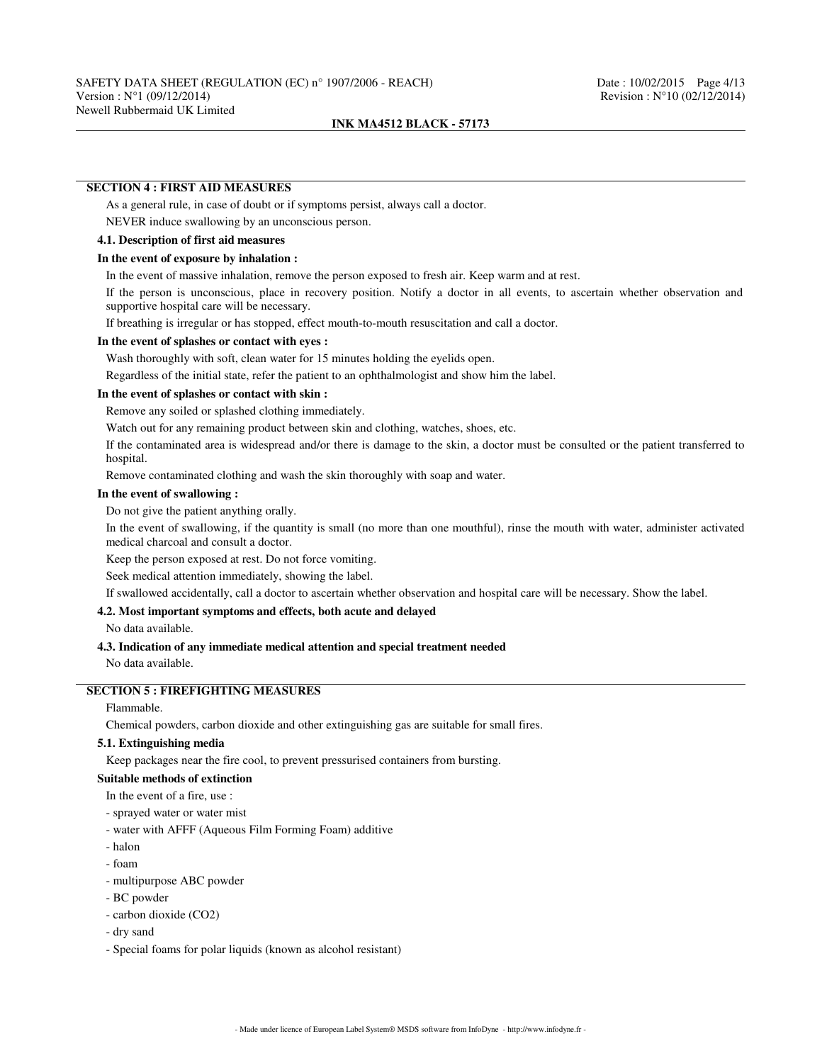### **SECTION 4 : FIRST AID MEASURES**

As a general rule, in case of doubt or if symptoms persist, always call a doctor.

NEVER induce swallowing by an unconscious person.

## **4.1. Description of first aid measures**

## **In the event of exposure by inhalation :**

In the event of massive inhalation, remove the person exposed to fresh air. Keep warm and at rest.

If the person is unconscious, place in recovery position. Notify a doctor in all events, to ascertain whether observation and supportive hospital care will be necessary.

If breathing is irregular or has stopped, effect mouth-to-mouth resuscitation and call a doctor.

### **In the event of splashes or contact with eyes :**

Wash thoroughly with soft, clean water for 15 minutes holding the eyelids open.

Regardless of the initial state, refer the patient to an ophthalmologist and show him the label.

### **In the event of splashes or contact with skin :**

Remove any soiled or splashed clothing immediately.

Watch out for any remaining product between skin and clothing, watches, shoes, etc.

If the contaminated area is widespread and/or there is damage to the skin, a doctor must be consulted or the patient transferred to hospital.

Remove contaminated clothing and wash the skin thoroughly with soap and water.

### **In the event of swallowing :**

Do not give the patient anything orally.

In the event of swallowing, if the quantity is small (no more than one mouthful), rinse the mouth with water, administer activated medical charcoal and consult a doctor.

Keep the person exposed at rest. Do not force vomiting.

Seek medical attention immediately, showing the label.

If swallowed accidentally, call a doctor to ascertain whether observation and hospital care will be necessary. Show the label.

### **4.2. Most important symptoms and effects, both acute and delayed**

No data available.

### **4.3. Indication of any immediate medical attention and special treatment needed**

No data available.

## **SECTION 5 : FIREFIGHTING MEASURES**

## Flammable.

Chemical powders, carbon dioxide and other extinguishing gas are suitable for small fires.

## **5.1. Extinguishing media**

Keep packages near the fire cool, to prevent pressurised containers from bursting.

### **Suitable methods of extinction**

- In the event of a fire, use :
- sprayed water or water mist
- water with AFFF (Aqueous Film Forming Foam) additive
- halon
- foam
- multipurpose ABC powder
- BC powder
- carbon dioxide (CO2)
- dry sand
- Special foams for polar liquids (known as alcohol resistant)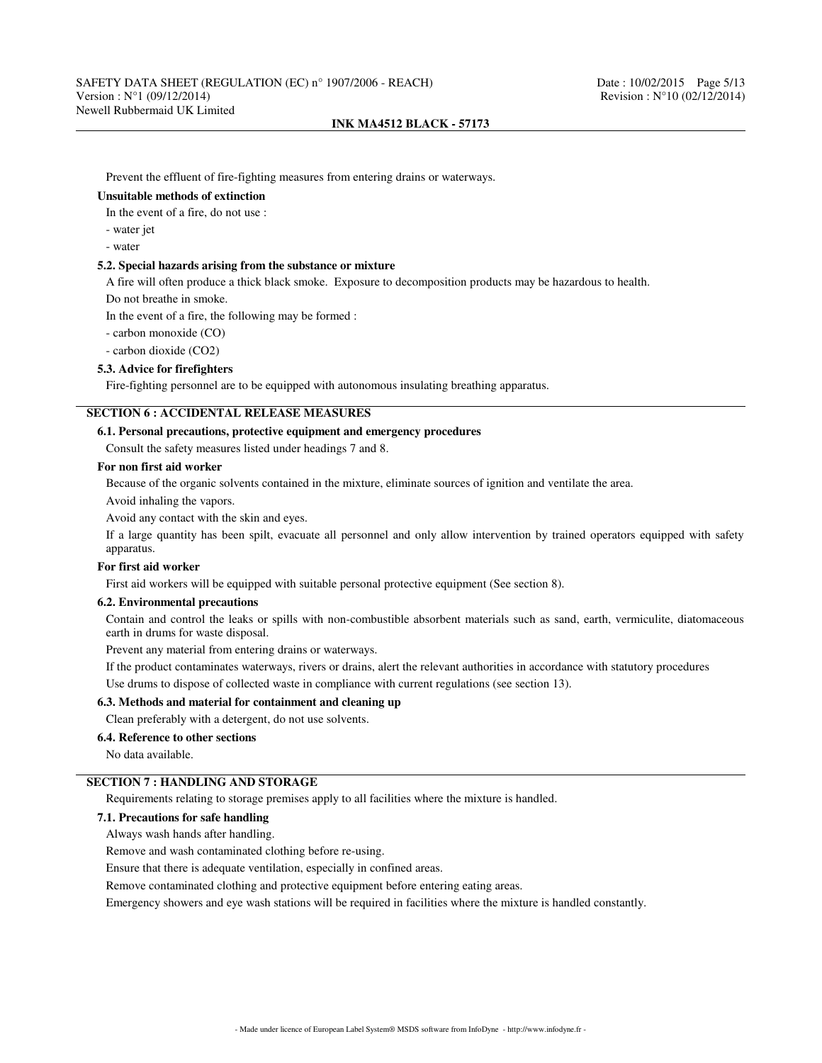Prevent the effluent of fire-fighting measures from entering drains or waterways.

### **Unsuitable methods of extinction**

In the event of a fire, do not use :

- water jet

- water

## **5.2. Special hazards arising from the substance or mixture**

A fire will often produce a thick black smoke. Exposure to decomposition products may be hazardous to health.

Do not breathe in smoke.

In the event of a fire, the following may be formed :

- carbon monoxide (CO)

- carbon dioxide (CO2)

### **5.3. Advice for firefighters**

Fire-fighting personnel are to be equipped with autonomous insulating breathing apparatus.

# **SECTION 6 : ACCIDENTAL RELEASE MEASURES**

### **6.1. Personal precautions, protective equipment and emergency procedures**

Consult the safety measures listed under headings 7 and 8.

## **For non first aid worker**

Because of the organic solvents contained in the mixture, eliminate sources of ignition and ventilate the area.

Avoid inhaling the vapors.

Avoid any contact with the skin and eyes.

If a large quantity has been spilt, evacuate all personnel and only allow intervention by trained operators equipped with safety apparatus.

### **For first aid worker**

First aid workers will be equipped with suitable personal protective equipment (See section 8).

### **6.2. Environmental precautions**

Contain and control the leaks or spills with non-combustible absorbent materials such as sand, earth, vermiculite, diatomaceous earth in drums for waste disposal.

Prevent any material from entering drains or waterways.

If the product contaminates waterways, rivers or drains, alert the relevant authorities in accordance with statutory procedures Use drums to dispose of collected waste in compliance with current regulations (see section 13).

### **6.3. Methods and material for containment and cleaning up**

Clean preferably with a detergent, do not use solvents.

### **6.4. Reference to other sections**

No data available.

# **SECTION 7 : HANDLING AND STORAGE**

Requirements relating to storage premises apply to all facilities where the mixture is handled.

# **7.1. Precautions for safe handling**

Always wash hands after handling.

Remove and wash contaminated clothing before re-using.

Ensure that there is adequate ventilation, especially in confined areas.

Remove contaminated clothing and protective equipment before entering eating areas.

Emergency showers and eye wash stations will be required in facilities where the mixture is handled constantly.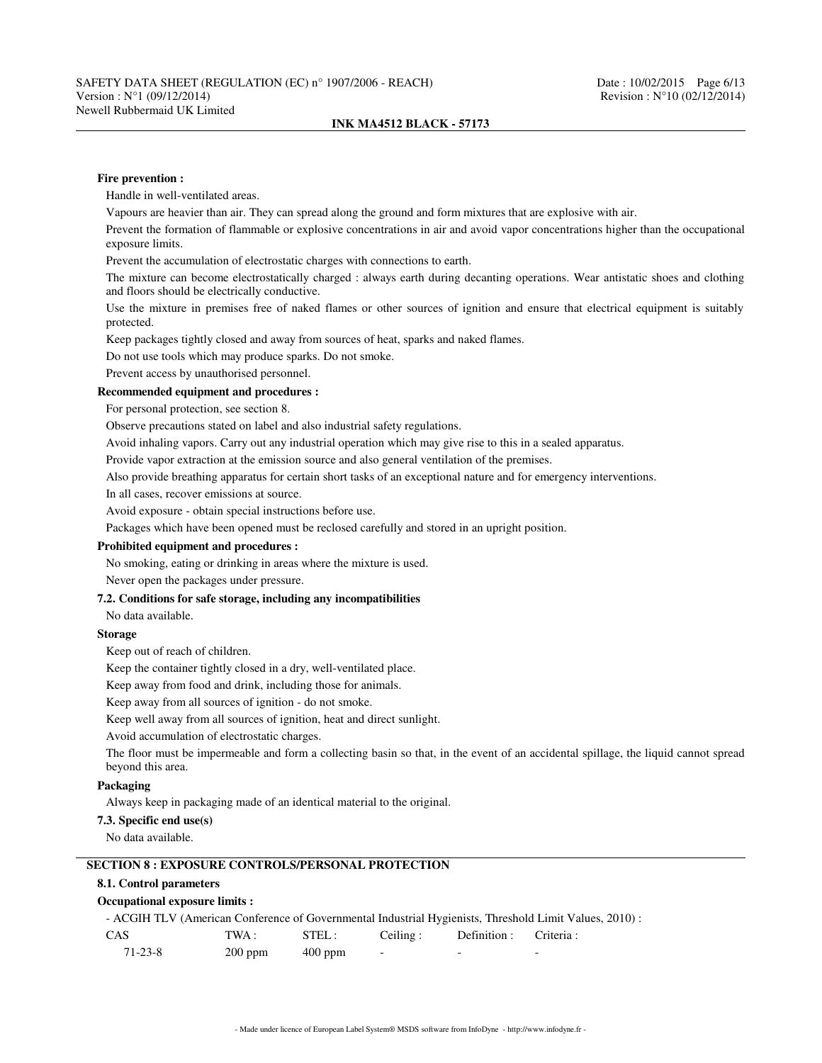### **Fire prevention :**

Handle in well-ventilated areas.

Vapours are heavier than air. They can spread along the ground and form mixtures that are explosive with air.

Prevent the formation of flammable or explosive concentrations in air and avoid vapor concentrations higher than the occupational exposure limits.

Prevent the accumulation of electrostatic charges with connections to earth.

The mixture can become electrostatically charged : always earth during decanting operations. Wear antistatic shoes and clothing and floors should be electrically conductive.

Use the mixture in premises free of naked flames or other sources of ignition and ensure that electrical equipment is suitably protected.

Keep packages tightly closed and away from sources of heat, sparks and naked flames.

Do not use tools which may produce sparks. Do not smoke.

Prevent access by unauthorised personnel.

## **Recommended equipment and procedures :**

For personal protection, see section 8.

Observe precautions stated on label and also industrial safety regulations.

Avoid inhaling vapors. Carry out any industrial operation which may give rise to this in a sealed apparatus.

Provide vapor extraction at the emission source and also general ventilation of the premises.

Also provide breathing apparatus for certain short tasks of an exceptional nature and for emergency interventions.

In all cases, recover emissions at source.

Avoid exposure - obtain special instructions before use.

Packages which have been opened must be reclosed carefully and stored in an upright position.

## **Prohibited equipment and procedures :**

No smoking, eating or drinking in areas where the mixture is used.

Never open the packages under pressure.

## **7.2. Conditions for safe storage, including any incompatibilities**

No data available.

# **Storage**

Keep out of reach of children.

Keep the container tightly closed in a dry, well-ventilated place.

Keep away from food and drink, including those for animals.

Keep away from all sources of ignition - do not smoke.

Keep well away from all sources of ignition, heat and direct sunlight.

Avoid accumulation of electrostatic charges.

The floor must be impermeable and form a collecting basin so that, in the event of an accidental spillage, the liquid cannot spread beyond this area.

## **Packaging**

Always keep in packaging made of an identical material to the original.

## **7.3. Specific end use(s)**

No data available.

## **SECTION 8 : EXPOSURE CONTROLS/PERSONAL PROTECTION**

# **8.1. Control parameters**

### **Occupational exposure limits :**

- ACGIH TLV (American Conference of Governmental Industrial Hygienists, Threshold Limit Values, 2010) :

| CAS     | TWA :     | STEL:     | Ceiling: | Definition : Criteria : |                          |
|---------|-----------|-----------|----------|-------------------------|--------------------------|
| 71-23-8 | $200$ ppm | $400$ ppm |          | -                       | $\overline{\phantom{0}}$ |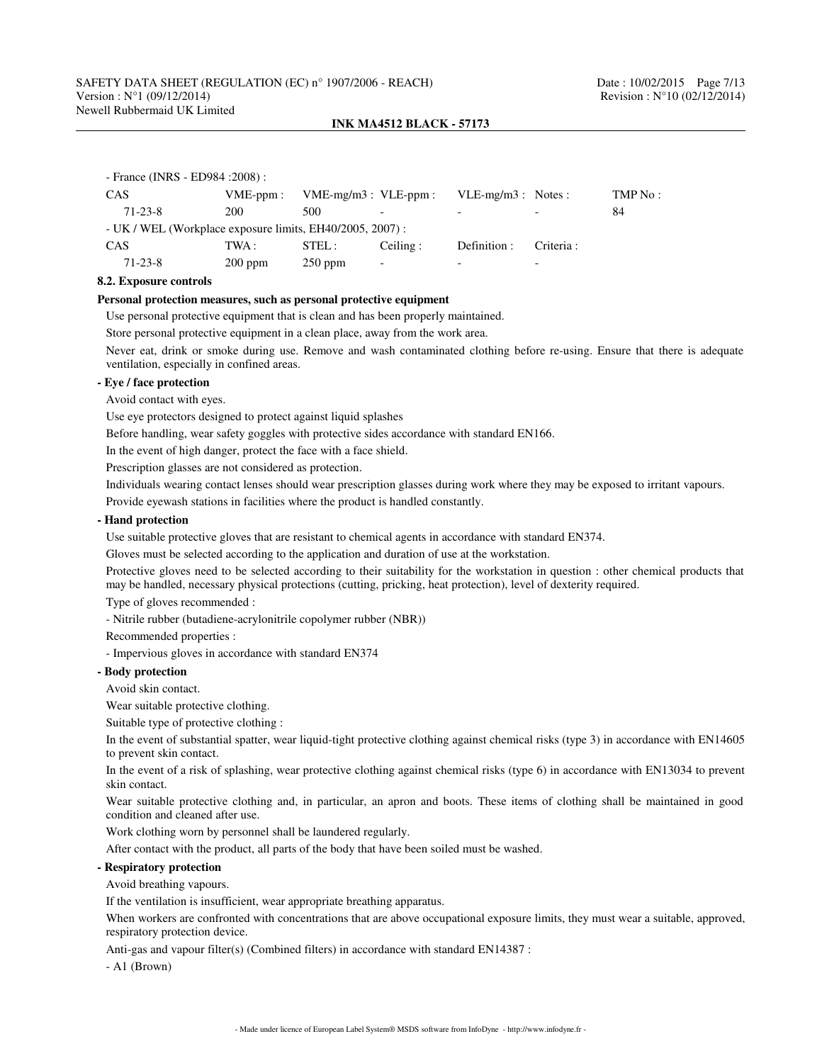# SAFETY DATA SHEET (REGULATION (EC) n° 1907/2006 - REACH) Date : 10/02/2015 Page 7/13<br>Version : N°1 (09/12/2014) Revision : N°10 (02/12/2014) Newell Rubbermaid UK Limited

### **INK MA4512 BLACK - 57173**

| - France (INRS - ED984 : 2008) :                         |             |                           |                          |                      |                          |         |  |  |
|----------------------------------------------------------|-------------|---------------------------|--------------------------|----------------------|--------------------------|---------|--|--|
| <b>CAS</b>                                               | $VME-ppm$ : | $VME-mg/m3$ : $VLE-ppm$ : |                          | $VLE-mg/m3$ : Notes: |                          | TMP No: |  |  |
| $71 - 23 - 8$                                            | 200         | 500                       | $\overline{\phantom{0}}$ |                      |                          | 84      |  |  |
| - UK / WEL (Workplace exposure limits, EH40/2005, 2007): |             |                           |                          |                      |                          |         |  |  |
| <b>CAS</b>                                               | TWA :       | STEL:                     | Ceiling:                 | Definition :         | Criteria :               |         |  |  |
| $71 - 23 - 8$                                            | $200$ ppm   | $250$ ppm                 | $\overline{\phantom{0}}$ |                      | $\overline{\phantom{0}}$ |         |  |  |

## **8.2. Exposure controls**

### **Personal protection measures, such as personal protective equipment**

Use personal protective equipment that is clean and has been properly maintained.

Store personal protective equipment in a clean place, away from the work area.

Never eat, drink or smoke during use. Remove and wash contaminated clothing before re-using. Ensure that there is adequate ventilation, especially in confined areas.

## **- Eye / face protection**

Avoid contact with eyes.

Use eye protectors designed to protect against liquid splashes

Before handling, wear safety goggles with protective sides accordance with standard EN166.

In the event of high danger, protect the face with a face shield.

Prescription glasses are not considered as protection.

Individuals wearing contact lenses should wear prescription glasses during work where they may be exposed to irritant vapours.

Provide eyewash stations in facilities where the product is handled constantly.

### **- Hand protection**

Use suitable protective gloves that are resistant to chemical agents in accordance with standard EN374.

Gloves must be selected according to the application and duration of use at the workstation.

Protective gloves need to be selected according to their suitability for the workstation in question : other chemical products that may be handled, necessary physical protections (cutting, pricking, heat protection), level of dexterity required.

Type of gloves recommended :

- Nitrile rubber (butadiene-acrylonitrile copolymer rubber (NBR))

Recommended properties :

- Impervious gloves in accordance with standard EN374

# **- Body protection**

Avoid skin contact.

Wear suitable protective clothing.

Suitable type of protective clothing :

In the event of substantial spatter, wear liquid-tight protective clothing against chemical risks (type 3) in accordance with EN14605 to prevent skin contact.

In the event of a risk of splashing, wear protective clothing against chemical risks (type 6) in accordance with EN13034 to prevent skin contact.

Wear suitable protective clothing and, in particular, an apron and boots. These items of clothing shall be maintained in good condition and cleaned after use.

Work clothing worn by personnel shall be laundered regularly.

After contact with the product, all parts of the body that have been soiled must be washed.

### **- Respiratory protection**

Avoid breathing vapours.

If the ventilation is insufficient, wear appropriate breathing apparatus.

When workers are confronted with concentrations that are above occupational exposure limits, they must wear a suitable, approved, respiratory protection device.

Anti-gas and vapour filter(s) (Combined filters) in accordance with standard EN14387 :

- A1 (Brown)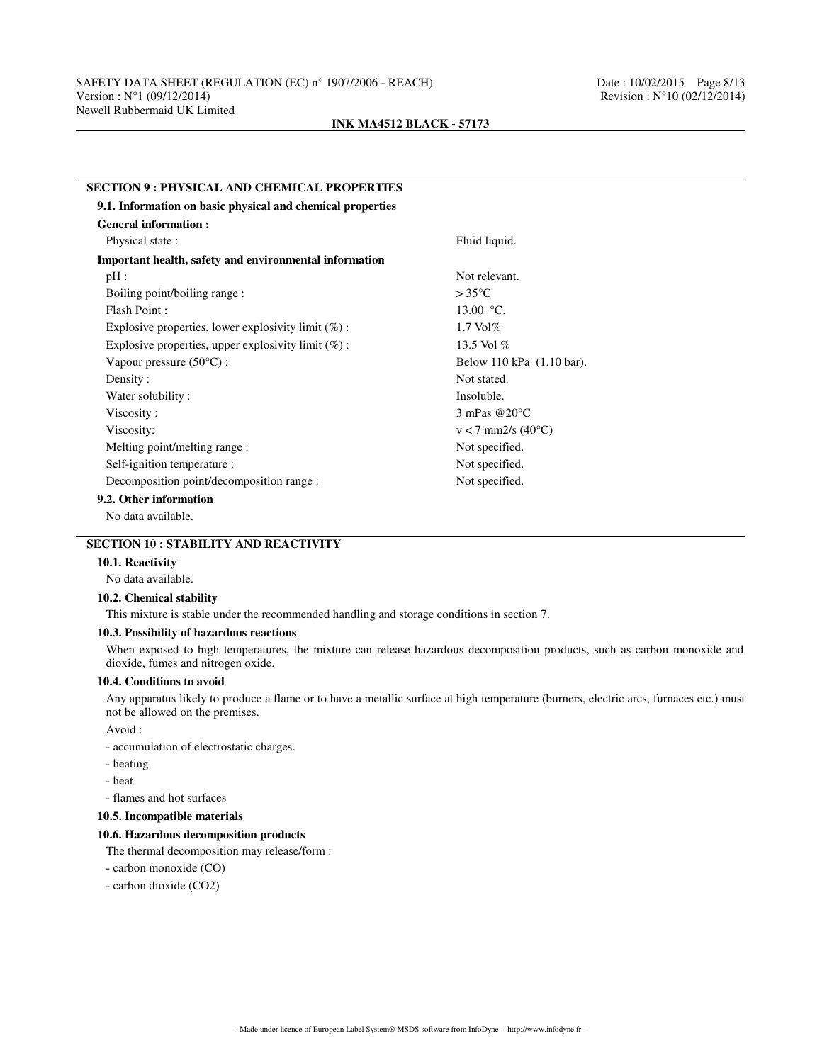### **SECTION 9 : PHYSICAL AND CHEMICAL PROPERTIES**

| 9.1. Information on basic physical and chemical properties |                                 |
|------------------------------------------------------------|---------------------------------|
| <b>General information:</b>                                |                                 |
| Physical state:                                            | Fluid liquid.                   |
| Important health, safety and environmental information     |                                 |
| $pH$ :                                                     | Not relevant.                   |
| Boiling point/boiling range:                               | $>35^{\circ}$ C                 |
| Flash Point:                                               | 13.00 $\degree$ C.              |
| Explosive properties, lower explosivity limit $(\%)$ :     | $1.7$ Vol $%$                   |
| Explosive properties, upper explosivity limit $(\%)$ :     | 13.5 Vol %                      |
| Vapour pressure $(50^{\circ}C)$ :                          | Below 110 kPa (1.10 bar).       |
| Density:                                                   | Not stated.                     |
| Water solubility:                                          | Insoluble.                      |
| Viscosity:                                                 | 3 mPas $@20°C$                  |
| Viscosity:                                                 | $v < 7$ mm2/s (40 $^{\circ}$ C) |
| Melting point/melting range :                              | Not specified.                  |
| Self-ignition temperature :                                | Not specified.                  |
| Decomposition point/decomposition range :                  | Not specified.                  |
| 9.2. Other information                                     |                                 |
| No data available.                                         |                                 |

## **SECTION 10 : STABILITY AND REACTIVITY**

### **10.1. Reactivity**

No data available.

### **10.2. Chemical stability**

This mixture is stable under the recommended handling and storage conditions in section 7.

## **10.3. Possibility of hazardous reactions**

When exposed to high temperatures, the mixture can release hazardous decomposition products, such as carbon monoxide and dioxide, fumes and nitrogen oxide.

## **10.4. Conditions to avoid**

Any apparatus likely to produce a flame or to have a metallic surface at high temperature (burners, electric arcs, furnaces etc.) must not be allowed on the premises.

Avoid :

- accumulation of electrostatic charges.

- heating
- heat

- flames and hot surfaces

## **10.5. Incompatible materials**

## **10.6. Hazardous decomposition products**

The thermal decomposition may release/form :

- carbon monoxide (CO)
- carbon dioxide (CO2)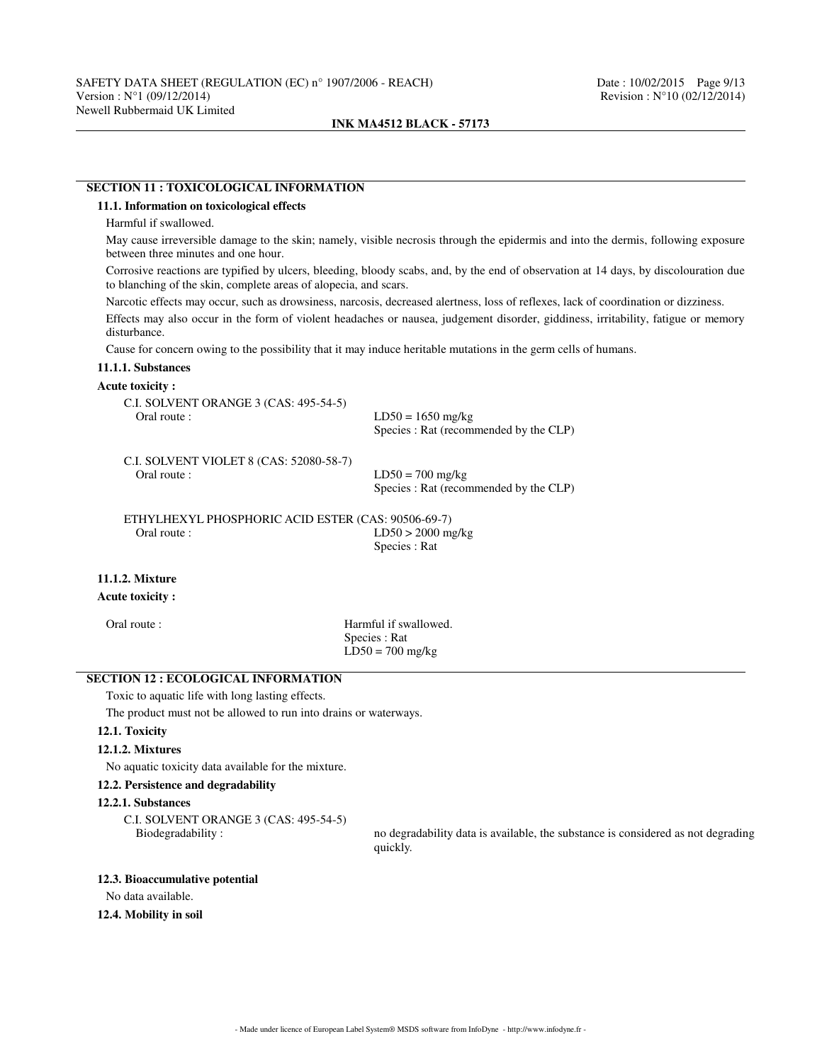# **SECTION 11 : TOXICOLOGICAL INFORMATION**

## **11.1. Information on toxicological effects**

Harmful if swallowed.

May cause irreversible damage to the skin; namely, visible necrosis through the epidermis and into the dermis, following exposure between three minutes and one hour.

Corrosive reactions are typified by ulcers, bleeding, bloody scabs, and, by the end of observation at 14 days, by discolouration due to blanching of the skin, complete areas of alopecia, and scars.

Narcotic effects may occur, such as drowsiness, narcosis, decreased alertness, loss of reflexes, lack of coordination or dizziness.

Effects may also occur in the form of violent headaches or nausea, judgement disorder, giddiness, irritability, fatigue or memory disturbance.

Cause for concern owing to the possibility that it may induce heritable mutations in the germ cells of humans.

## **11.1.1. Substances**

### **Acute toxicity :**

| C.I. SOLVENT ORANGE 3 (CAS: 495-54-5)<br>Oral route :  | $LD50 = 1650$ mg/kg<br>Species : Rat (recommended by the CLP) |
|--------------------------------------------------------|---------------------------------------------------------------|
| C.I. SOLVENT VIOLET 8 (CAS: 52080-58-7)<br>Oral route: | $LD50 = 700$ mg/kg<br>Species : Rat (recommended by the CLP)  |
| ETHYLHEXYL PHOSPHORIC ACID ESTER (CAS: 90506-69-7)     |                                                               |
| Oral route:                                            | $LD50 > 2000$ mg/kg                                           |
|                                                        | Species : Rat                                                 |
| <b>11.1.2. Mixture</b>                                 |                                                               |

### **Acute toxicity :**

Oral route : **Harmful** if swallowed. Species : Rat  $LD50 = 700$  mg/kg

# **SECTION 12 : ECOLOGICAL INFORMATION**

Toxic to aquatic life with long lasting effects.

The product must not be allowed to run into drains or waterways.

# **12.1. Toxicity**

## **12.1.2. Mixtures**

No aquatic toxicity data available for the mixture.

### **12.2. Persistence and degradability**

### **12.2.1. Substances**

C.I. SOLVENT ORANGE 3 (CAS: 495-54-5)

no degradability data is available, the substance is considered as not degrading quickly.

## **12.3. Bioaccumulative potential**

No data available.

### **12.4. Mobility in soil**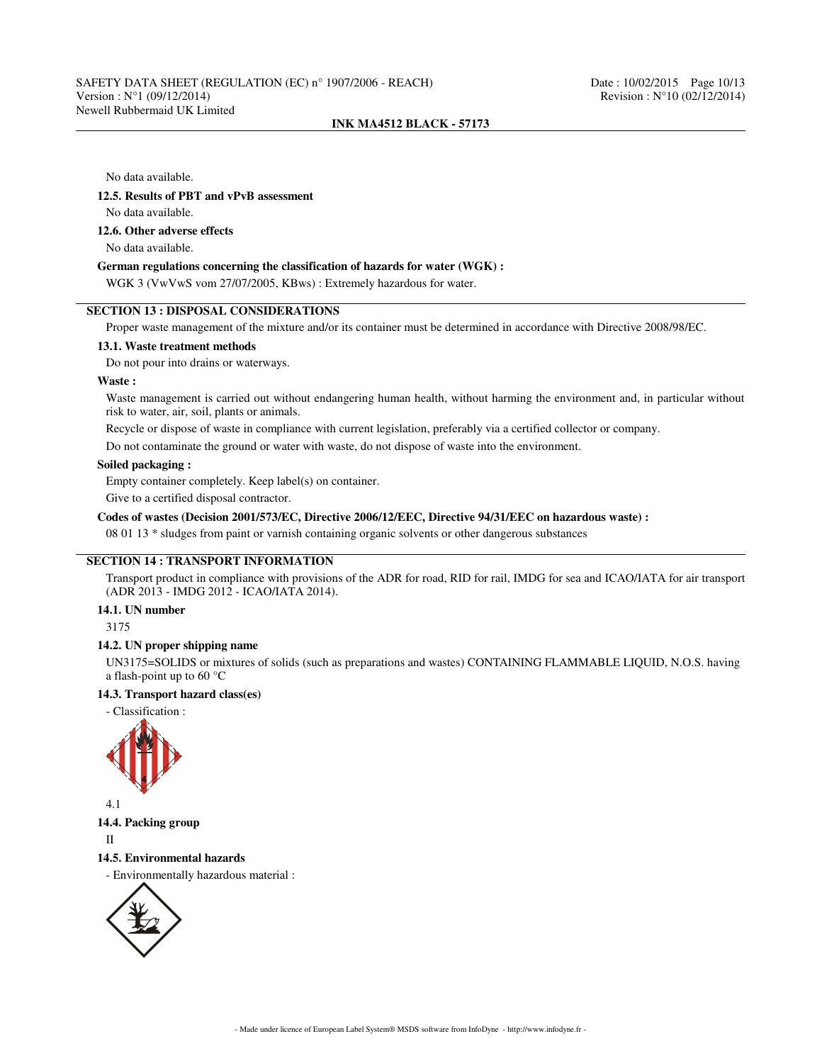No data available.

### **12.5. Results of PBT and vPvB assessment**

No data available.

### **12.6. Other adverse effects**

No data available.

## **German regulations concerning the classification of hazards for water (WGK) :**

WGK 3 (VwVwS vom 27/07/2005, KBws) : Extremely hazardous for water.

## **SECTION 13 : DISPOSAL CONSIDERATIONS**

Proper waste management of the mixture and/or its container must be determined in accordance with Directive 2008/98/EC.

### **13.1. Waste treatment methods**

Do not pour into drains or waterways.

### **Waste :**

Waste management is carried out without endangering human health, without harming the environment and, in particular without risk to water, air, soil, plants or animals.

Recycle or dispose of waste in compliance with current legislation, preferably via a certified collector or company.

Do not contaminate the ground or water with waste, do not dispose of waste into the environment.

## **Soiled packaging :**

Empty container completely. Keep label(s) on container.

Give to a certified disposal contractor.

### **Codes of wastes (Decision 2001/573/EC, Directive 2006/12/EEC, Directive 94/31/EEC on hazardous waste) :**

08 01 13 \* sludges from paint or varnish containing organic solvents or other dangerous substances

## **SECTION 14 : TRANSPORT INFORMATION**

Transport product in compliance with provisions of the ADR for road, RID for rail, IMDG for sea and ICAO/IATA for air transport (ADR 2013 - IMDG 2012 - ICAO/IATA 2014).

### **14.1. UN number**

3175

### **14.2. UN proper shipping name**

UN3175=SOLIDS or mixtures of solids (such as preparations and wastes) CONTAINING FLAMMABLE LIQUID, N.O.S. having a flash-point up to 60 °C

# **14.3. Transport hazard class(es)**

- Classification :



4.1

## **14.4. Packing group**

II

#### **14.5. Environmental hazards**

- Environmentally hazardous material :

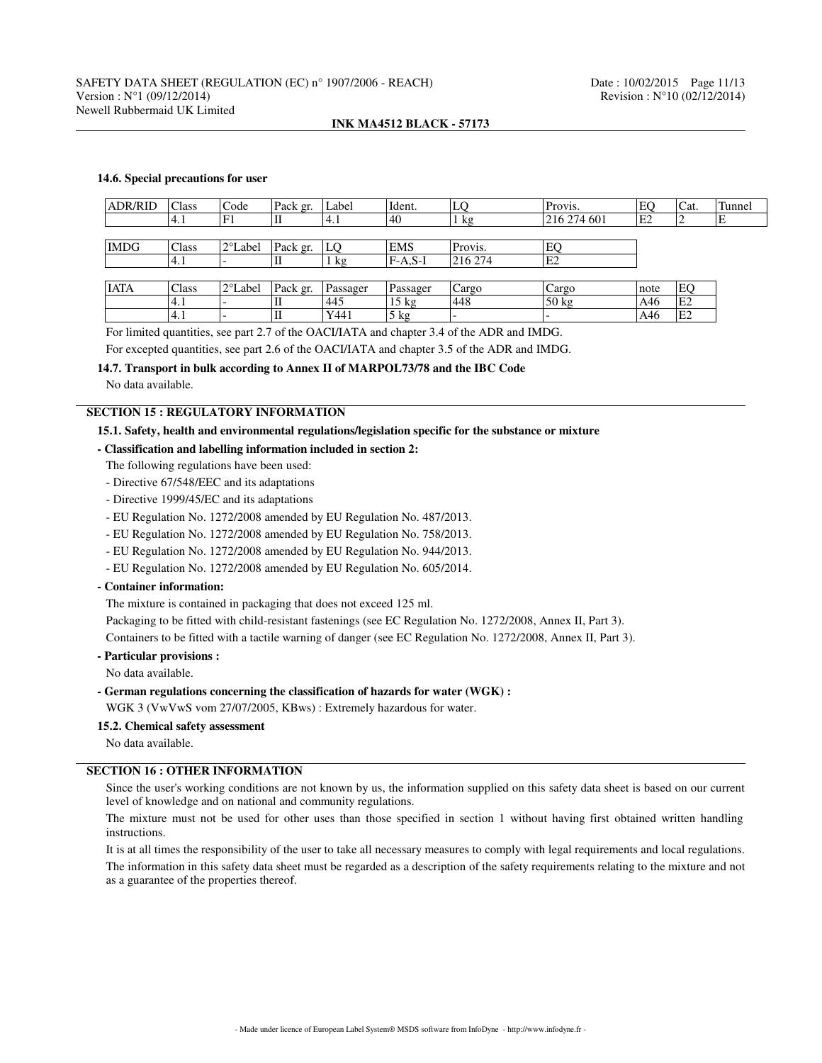### **14.6. Special precautions for user**

| <b>ADR/RID</b> | Class | Code      | Pack gr. | Label    | Ident.         | LQ             | Provis.                  | EO             | Cat.           | Tunnel |
|----------------|-------|-----------|----------|----------|----------------|----------------|--------------------------|----------------|----------------|--------|
|                | 4.1   | F1        |          | '4.1     | '40            | $1 \text{ kg}$ | 216 274 601              | E <sub>2</sub> | ∼              | Е      |
|                |       |           |          |          |                |                |                          |                |                |        |
| <b>IMDG</b>    | Class | l 2°Label | Pack gr. | LO       | <b>EMS</b>     | Provis.        | EO                       |                |                |        |
|                | 4.1   |           |          | kg       | F-A.S-I        | 216 274        | E <sub>2</sub>           |                |                |        |
|                |       |           |          |          |                |                |                          |                |                |        |
| <b>IATA</b>    | Class | 2°Label   | Pack gr. | Passager | $P$ assager    | Cargo          | Cargo                    | note           | EQ             |        |
|                | 4.1   |           | п        | 445      | 15 kg          | '448           | $50 \text{ kg}$          | A46            | E2             |        |
|                | 4.1   |           |          | Y441     | $5 \text{ kg}$ |                | $\overline{\phantom{0}}$ | A46            | E <sub>2</sub> |        |

For limited quantities, see part 2.7 of the OACI/IATA and chapter 3.4 of the ADR and IMDG.

For excepted quantities, see part 2.6 of the OACI/IATA and chapter 3.5 of the ADR and IMDG.

## **14.7. Transport in bulk according to Annex II of MARPOL73/78 and the IBC Code**

No data available.

## **SECTION 15 : REGULATORY INFORMATION**

### **15.1. Safety, health and environmental regulations/legislation specific for the substance or mixture**

## **- Classification and labelling information included in section 2:**

- The following regulations have been used:
- Directive 67/548/EEC and its adaptations
- Directive 1999/45/EC and its adaptations
- EU Regulation No. 1272/2008 amended by EU Regulation No. 487/2013.
- EU Regulation No. 1272/2008 amended by EU Regulation No. 758/2013.
- EU Regulation No. 1272/2008 amended by EU Regulation No. 944/2013.
- EU Regulation No. 1272/2008 amended by EU Regulation No. 605/2014.

### **- Container information:**

The mixture is contained in packaging that does not exceed 125 ml.

Packaging to be fitted with child-resistant fastenings (see EC Regulation No. 1272/2008, Annex II, Part 3).

Containers to be fitted with a tactile warning of danger (see EC Regulation No. 1272/2008, Annex II, Part 3).

## **- Particular provisions :**

No data available.

**- German regulations concerning the classification of hazards for water (WGK) :**

WGK 3 (VwVwS vom 27/07/2005, KBws) : Extremely hazardous for water.

## **15.2. Chemical safety assessment**

No data available.

# **SECTION 16 : OTHER INFORMATION**

Since the user's working conditions are not known by us, the information supplied on this safety data sheet is based on our current level of knowledge and on national and community regulations.

The mixture must not be used for other uses than those specified in section 1 without having first obtained written handling instructions.

It is at all times the responsibility of the user to take all necessary measures to comply with legal requirements and local regulations.

The information in this safety data sheet must be regarded as a description of the safety requirements relating to the mixture and not as a guarantee of the properties thereof.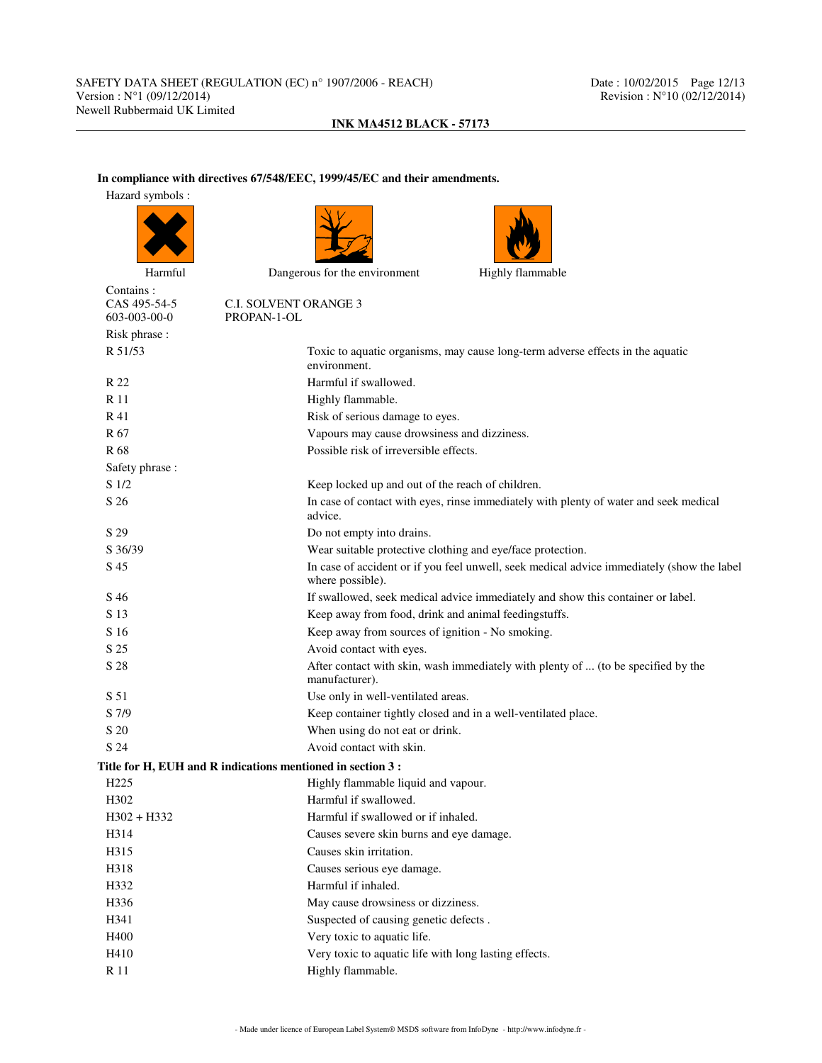# **In compliance with directives 67/548/EEC, 1999/45/EC and their amendments.**

| Hazard symbols :                          |                                                                                                                |
|-------------------------------------------|----------------------------------------------------------------------------------------------------------------|
|                                           |                                                                                                                |
| Harmful                                   | Dangerous for the environment<br>Highly flammable                                                              |
| Contains:<br>CAS 495-54-5<br>603-003-00-0 | <b>C.I. SOLVENT ORANGE 3</b><br>PROPAN-1-OL                                                                    |
| Risk phrase:                              |                                                                                                                |
| R 51/53                                   | Toxic to aquatic organisms, may cause long-term adverse effects in the aquatic<br>environment.                 |
| R 22                                      | Harmful if swallowed.                                                                                          |
| R 11                                      | Highly flammable.                                                                                              |
| R 41                                      | Risk of serious damage to eyes.                                                                                |
| R <sub>67</sub>                           | Vapours may cause drowsiness and dizziness.                                                                    |
| R 68                                      | Possible risk of irreversible effects.                                                                         |
| Safety phrase:                            |                                                                                                                |
| S 1/2                                     | Keep locked up and out of the reach of children.                                                               |
| S 26                                      | In case of contact with eyes, rinse immediately with plenty of water and seek medical<br>advice.               |
| S 29                                      | Do not empty into drains.                                                                                      |
| S 36/39                                   | Wear suitable protective clothing and eye/face protection.                                                     |
| S 45                                      | In case of accident or if you feel unwell, seek medical advice immediately (show the label<br>where possible). |
| S 46                                      | If swallowed, seek medical advice immediately and show this container or label.                                |
| S 13                                      | Keep away from food, drink and animal feedingstuffs.                                                           |
| S 16                                      | Keep away from sources of ignition - No smoking.                                                               |
| S 25                                      | Avoid contact with eyes.                                                                                       |
| S 28                                      | After contact with skin, wash immediately with plenty of  (to be specified by the<br>manufacturer).            |
| S 51                                      | Use only in well-ventilated areas.                                                                             |
| S 7/9                                     | Keep container tightly closed and in a well-ventilated place.                                                  |
| S 20                                      | When using do not eat or drink.                                                                                |
| S 24                                      | Avoid contact with skin.                                                                                       |
|                                           | Title for H, EUH and R indications mentioned in section 3 :                                                    |
| H <sub>225</sub>                          | Highly flammable liquid and vapour.                                                                            |
| H302                                      | Harmful if swallowed.                                                                                          |
| $H302 + H332$                             | Harmful if swallowed or if inhaled.                                                                            |
| H314                                      | Causes severe skin burns and eye damage.                                                                       |
| H315                                      | Causes skin irritation.                                                                                        |
| H318                                      | Causes serious eye damage.                                                                                     |
| H332                                      | Harmful if inhaled.                                                                                            |
| H336                                      | May cause drowsiness or dizziness.                                                                             |
| H341                                      | Suspected of causing genetic defects.                                                                          |
| H400                                      | Very toxic to aquatic life.                                                                                    |
| H410                                      | Very toxic to aquatic life with long lasting effects.                                                          |
| R 11                                      | Highly flammable.                                                                                              |